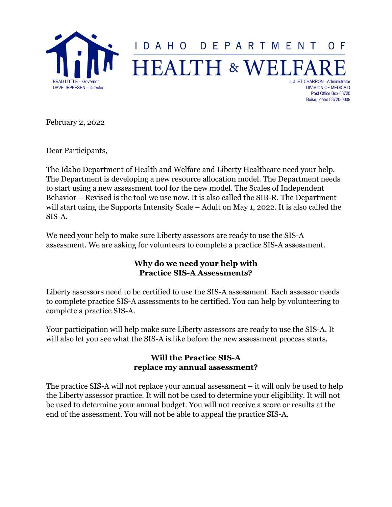

Boise, Idaho 83720-0009

February 2, 2022

Dear Participants,

The Idaho Department of Health and Welfare and Liberty Healthcare need your help. The Department is developing a new resource allocation model. The Department needs to start using a new assessment tool for the new model. The Scales of Independent Behavior – Revised is the tool we use now. It is also called the SIB-R. The Department will start using the Supports Intensity Scale – Adult on May 1, 2022. It is also called the SIS-A.

We need your help to make sure Liberty assessors are ready to use the SIS-A assessment. We are asking for volunteers to complete a practice SIS-A assessment.

#### **Why do we need your help with Practice SIS-A Assessments?**

Liberty assessors need to be certified to use the SIS-A assessment. Each assessor needs to complete practice SIS-A assessments to be certified. You can help by volunteering to complete a practice SIS-A.

Your participation will help make sure Liberty assessors are ready to use the SIS-A. It will also let you see what the SIS-A is like before the new assessment process starts.

#### **Will the Practice SIS-A replace my annual assessment?**

The practice SIS-A will not replace your annual assessment – it will only be used to help the Liberty assessor practice. It will not be used to determine your eligibility. It will not be used to determine your annual budget. You will not receive a score or results at the end of the assessment. You will not be able to appeal the practice SIS-A.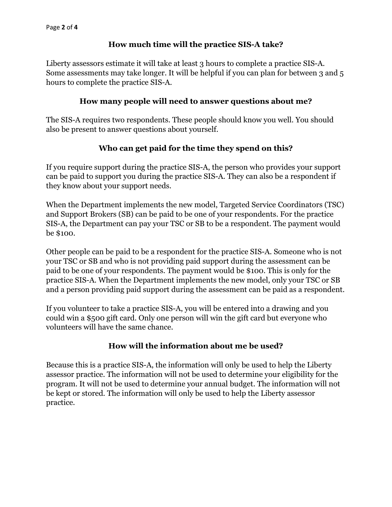# **How much time will the practice SIS-A take?**

Liberty assessors estimate it will take at least 3 hours to complete a practice SIS-A. Some assessments may take longer. It will be helpful if you can plan for between 3 and 5 hours to complete the practice SIS-A.

### **How many people will need to answer questions about me?**

The SIS-A requires two respondents. These people should know you well. You should also be present to answer questions about yourself.

# **Who can get paid for the time they spend on this?**

If you require support during the practice SIS-A, the person who provides your support can be paid to support you during the practice SIS-A. They can also be a respondent if they know about your support needs.

When the Department implements the new model, Targeted Service Coordinators (TSC) and Support Brokers (SB) can be paid to be one of your respondents. For the practice SIS-A, the Department can pay your TSC or SB to be a respondent. The payment would be \$100.

Other people can be paid to be a respondent for the practice SIS-A. Someone who is not your TSC or SB and who is not providing paid support during the assessment can be paid to be one of your respondents. The payment would be \$100. This is only for the practice SIS-A. When the Department implements the new model, only your TSC or SB and a person providing paid support during the assessment can be paid as a respondent.

If you volunteer to take a practice SIS-A, you will be entered into a drawing and you could win a \$500 gift card. Only one person will win the gift card but everyone who volunteers will have the same chance.

# **How will the information about me be used?**

Because this is a practice SIS-A, the information will only be used to help the Liberty assessor practice. The information will not be used to determine your eligibility for the program. It will not be used to determine your annual budget. The information will not be kept or stored. The information will only be used to help the Liberty assessor practice.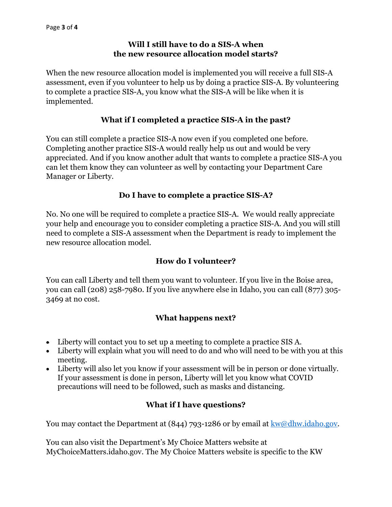### **Will I still have to do a SIS-A when the new resource allocation model starts?**

When the new resource allocation model is implemented you will receive a full SIS-A assessment, even if you volunteer to help us by doing a practice SIS-A. By volunteering to complete a practice SIS-A, you know what the SIS-A will be like when it is implemented.

# **What if I completed a practice SIS-A in the past?**

You can still complete a practice SIS-A now even if you completed one before. Completing another practice SIS-A would really help us out and would be very appreciated. And if you know another adult that wants to complete a practice SIS-A you can let them know they can volunteer as well by contacting your Department Care Manager or Liberty.

### **Do I have to complete a practice SIS-A?**

No. No one will be required to complete a practice SIS-A. We would really appreciate your help and encourage you to consider completing a practice SIS-A. And you will still need to complete a SIS-A assessment when the Department is ready to implement the new resource allocation model.

### **How do I volunteer?**

You can call Liberty and tell them you want to volunteer. If you live in the Boise area, you can call (208) 258-7980. If you live anywhere else in Idaho, you can call (877) 305- 3469 at no cost.

# **What happens next?**

- Liberty will contact you to set up a meeting to complete a practice SIS A.
- Liberty will explain what you will need to do and who will need to be with you at this meeting.
- Liberty will also let you know if your assessment will be in person or done virtually. If your assessment is done in person, Liberty will let you know what COVID precautions will need to be followed, such as masks and distancing.

### **What if I have questions?**

You may contact the Department at  $(844)$  793-1286 or by email at  $kw@dhw.idaho.gov$ .

You can also visit the Department's My Choice Matters website at MyChoiceMatters.idaho.gov. The My Choice Matters website is specific to the KW